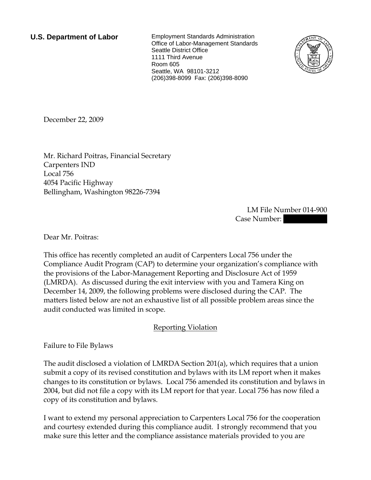**U.S. Department of Labor** Employment Standards Administration Office of Labor-Management Standards Seattle District Office 1111 Third Avenue Room 605 Seattle, WA 98101-3212 (206)398-8099 Fax: (206)398-8090



December 22, 2009

Mr. Richard Poitras, Financial Secretary Carpenters IND Local 756 4054 Pacific Highway Bellingham, Washington 98226-7394

> LM File Number 014-900 Case Number:

Dear Mr. Poitras:

This office has recently completed an audit of Carpenters Local 756 under the Compliance Audit Program (CAP) to determine your organization's compliance with the provisions of the Labor-Management Reporting and Disclosure Act of 1959 (LMRDA). As discussed during the exit interview with you and Tamera King on December 14, 2009, the following problems were disclosed during the CAP. The matters listed below are not an exhaustive list of all possible problem areas since the audit conducted was limited in scope.

## Reporting Violation

Failure to File Bylaws

The audit disclosed a violation of LMRDA Section 201(a), which requires that a union submit a copy of its revised constitution and bylaws with its LM report when it makes changes to its constitution or bylaws. Local 756 amended its constitution and bylaws in 2004, but did not file a copy with its LM report for that year. Local 756 has now filed a copy of its constitution and bylaws.

I want to extend my personal appreciation to Carpenters Local 756 for the cooperation and courtesy extended during this compliance audit. I strongly recommend that you make sure this letter and the compliance assistance materials provided to you are